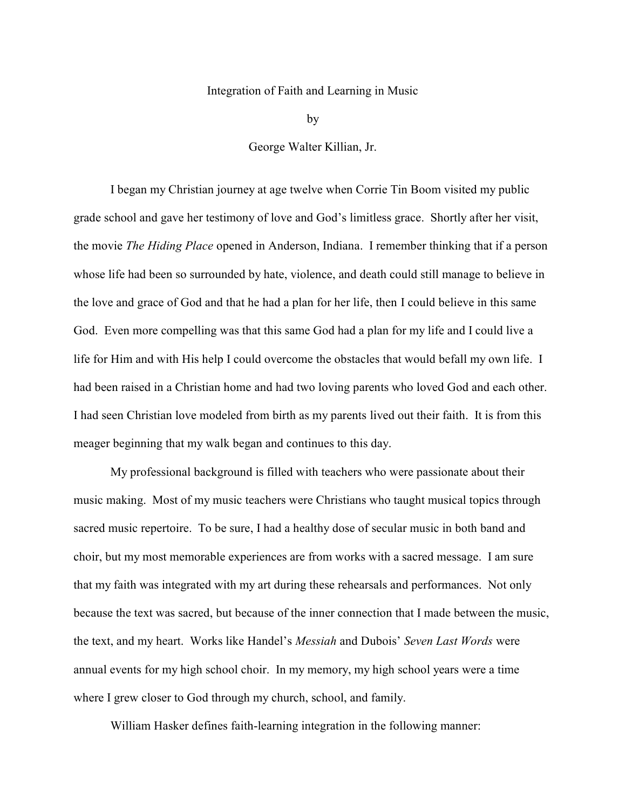## Integration of Faith and Learning in Music

by

George Walter Killian, Jr.

I began my Christian journey at age twelve when Corrie Tin Boom visited my public grade school and gave her testimony of love and God"s limitless grace. Shortly after her visit, the movie *The Hiding Place* opened in Anderson, Indiana. I remember thinking that if a person whose life had been so surrounded by hate, violence, and death could still manage to believe in the love and grace of God and that he had a plan for her life, then I could believe in this same God. Even more compelling was that this same God had a plan for my life and I could live a life for Him and with His help I could overcome the obstacles that would befall my own life. I had been raised in a Christian home and had two loving parents who loved God and each other. I had seen Christian love modeled from birth as my parents lived out their faith. It is from this meager beginning that my walk began and continues to this day.

My professional background is filled with teachers who were passionate about their music making. Most of my music teachers were Christians who taught musical topics through sacred music repertoire. To be sure, I had a healthy dose of secular music in both band and choir, but my most memorable experiences are from works with a sacred message. I am sure that my faith was integrated with my art during these rehearsals and performances. Not only because the text was sacred, but because of the inner connection that I made between the music, the text, and my heart. Works like Handel"s *Messiah* and Dubois" *Seven Last Words* were annual events for my high school choir. In my memory, my high school years were a time where I grew closer to God through my church, school, and family.

William Hasker defines faith-learning integration in the following manner: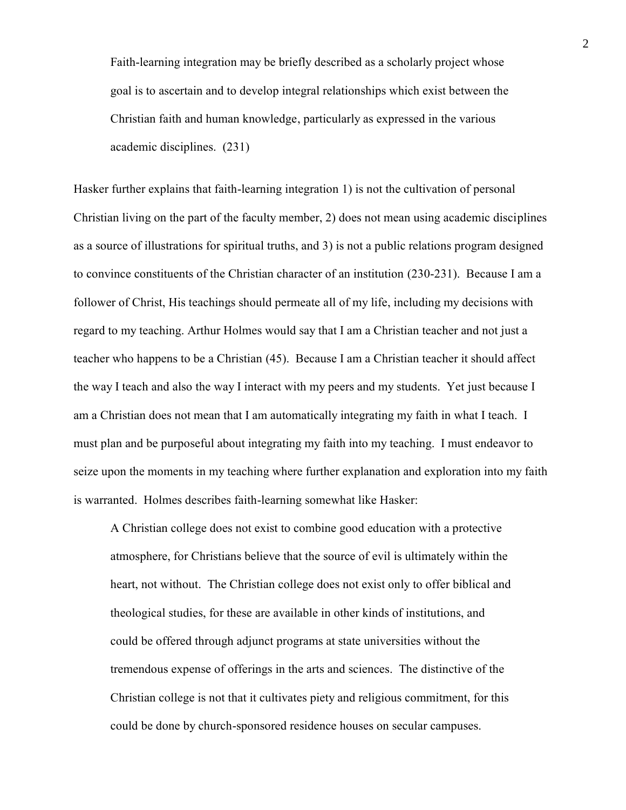Faith-learning integration may be briefly described as a scholarly project whose goal is to ascertain and to develop integral relationships which exist between the Christian faith and human knowledge, particularly as expressed in the various academic disciplines. (231)

Hasker further explains that faith-learning integration 1) is not the cultivation of personal Christian living on the part of the faculty member, 2) does not mean using academic disciplines as a source of illustrations for spiritual truths, and 3) is not a public relations program designed to convince constituents of the Christian character of an institution (230-231). Because I am a follower of Christ, His teachings should permeate all of my life, including my decisions with regard to my teaching. Arthur Holmes would say that I am a Christian teacher and not just a teacher who happens to be a Christian (45). Because I am a Christian teacher it should affect the way I teach and also the way I interact with my peers and my students. Yet just because I am a Christian does not mean that I am automatically integrating my faith in what I teach. I must plan and be purposeful about integrating my faith into my teaching. I must endeavor to seize upon the moments in my teaching where further explanation and exploration into my faith is warranted. Holmes describes faith-learning somewhat like Hasker:

A Christian college does not exist to combine good education with a protective atmosphere, for Christians believe that the source of evil is ultimately within the heart, not without. The Christian college does not exist only to offer biblical and theological studies, for these are available in other kinds of institutions, and could be offered through adjunct programs at state universities without the tremendous expense of offerings in the arts and sciences. The distinctive of the Christian college is not that it cultivates piety and religious commitment, for this could be done by church-sponsored residence houses on secular campuses.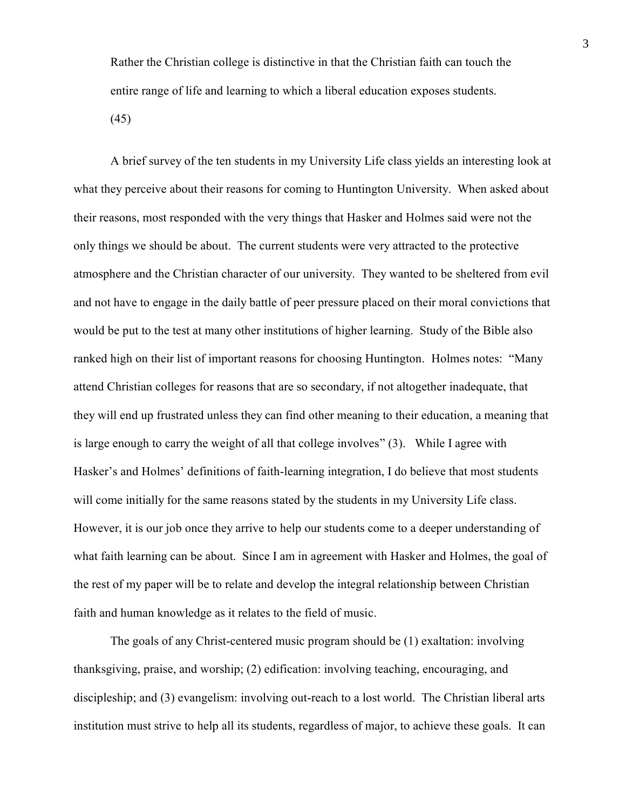Rather the Christian college is distinctive in that the Christian faith can touch the entire range of life and learning to which a liberal education exposes students. (45)

A brief survey of the ten students in my University Life class yields an interesting look at what they perceive about their reasons for coming to Huntington University. When asked about their reasons, most responded with the very things that Hasker and Holmes said were not the only things we should be about. The current students were very attracted to the protective atmosphere and the Christian character of our university. They wanted to be sheltered from evil and not have to engage in the daily battle of peer pressure placed on their moral convictions that would be put to the test at many other institutions of higher learning. Study of the Bible also ranked high on their list of important reasons for choosing Huntington. Holmes notes: "Many attend Christian colleges for reasons that are so secondary, if not altogether inadequate, that they will end up frustrated unless they can find other meaning to their education, a meaning that is large enough to carry the weight of all that college involves" (3). While I agree with Hasker's and Holmes' definitions of faith-learning integration, I do believe that most students will come initially for the same reasons stated by the students in my University Life class. However, it is our job once they arrive to help our students come to a deeper understanding of what faith learning can be about. Since I am in agreement with Hasker and Holmes, the goal of the rest of my paper will be to relate and develop the integral relationship between Christian faith and human knowledge as it relates to the field of music.

The goals of any Christ-centered music program should be (1) exaltation: involving thanksgiving, praise, and worship; (2) edification: involving teaching, encouraging, and discipleship; and (3) evangelism: involving out-reach to a lost world. The Christian liberal arts institution must strive to help all its students, regardless of major, to achieve these goals. It can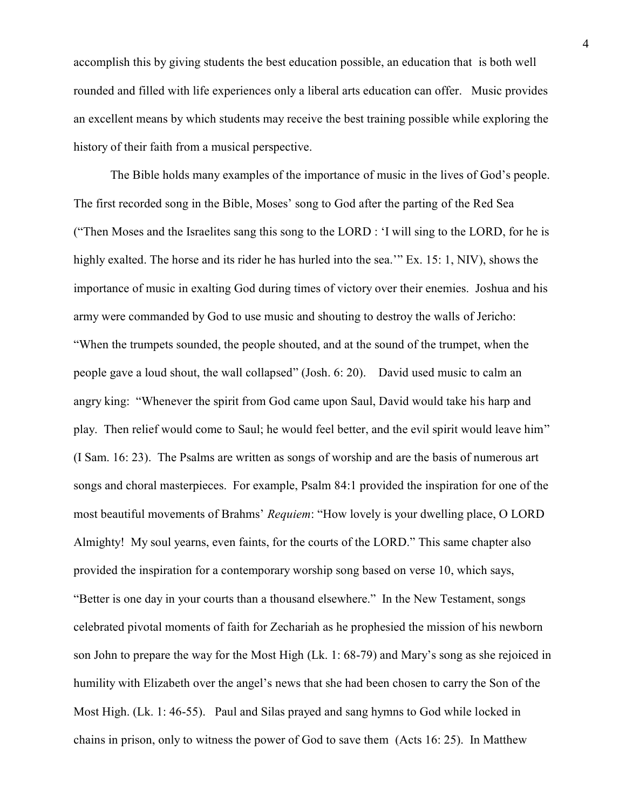accomplish this by giving students the best education possible, an education that is both well rounded and filled with life experiences only a liberal arts education can offer. Music provides an excellent means by which students may receive the best training possible while exploring the history of their faith from a musical perspective.

The Bible holds many examples of the importance of music in the lives of God"s people. The first recorded song in the Bible, Moses" song to God after the parting of the Red Sea ("Then Moses and the Israelites sang this song to the LORD : "I will sing to the LORD, for he is highly exalted. The horse and its rider he has hurled into the sea." Ex. 15: 1, NIV), shows the importance of music in exalting God during times of victory over their enemies. Joshua and his army were commanded by God to use music and shouting to destroy the walls of Jericho: "When the trumpets sounded, the people shouted, and at the sound of the trumpet, when the people gave a loud shout, the wall collapsed" (Josh. 6: 20). David used music to calm an angry king: "Whenever the spirit from God came upon Saul, David would take his harp and play. Then relief would come to Saul; he would feel better, and the evil spirit would leave him" (I Sam. 16: 23). The Psalms are written as songs of worship and are the basis of numerous art songs and choral masterpieces. For example, Psalm 84:1 provided the inspiration for one of the most beautiful movements of Brahms" *Requiem*: "How lovely is your dwelling place, O LORD Almighty! My soul yearns, even faints, for the courts of the LORD." This same chapter also provided the inspiration for a contemporary worship song based on verse 10, which says, "Better is one day in your courts than a thousand elsewhere." In the New Testament, songs celebrated pivotal moments of faith for Zechariah as he prophesied the mission of his newborn son John to prepare the way for the Most High (Lk. 1: 68-79) and Mary"s song as she rejoiced in humility with Elizabeth over the angel's news that she had been chosen to carry the Son of the Most High. (Lk. 1: 46-55). Paul and Silas prayed and sang hymns to God while locked in chains in prison, only to witness the power of God to save them (Acts 16: 25). In Matthew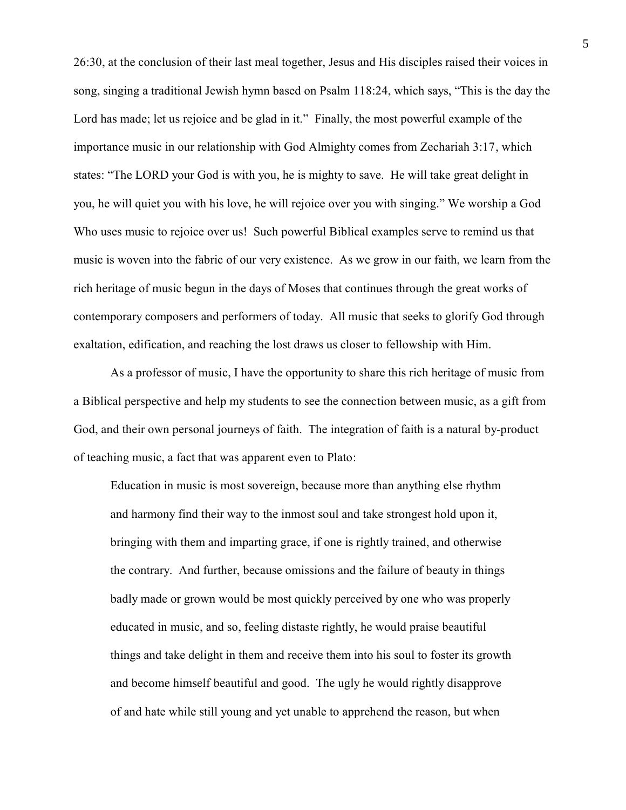26:30, at the conclusion of their last meal together, Jesus and His disciples raised their voices in song, singing a traditional Jewish hymn based on Psalm 118:24, which says, "This is the day the Lord has made; let us rejoice and be glad in it." Finally, the most powerful example of the importance music in our relationship with God Almighty comes from Zechariah 3:17, which states: "The LORD your God is with you, he is mighty to save. He will take great delight in you, he will quiet you with his love, he will rejoice over you with singing." We worship a God Who uses music to rejoice over us! Such powerful Biblical examples serve to remind us that music is woven into the fabric of our very existence. As we grow in our faith, we learn from the rich heritage of music begun in the days of Moses that continues through the great works of contemporary composers and performers of today. All music that seeks to glorify God through exaltation, edification, and reaching the lost draws us closer to fellowship with Him.

As a professor of music, I have the opportunity to share this rich heritage of music from a Biblical perspective and help my students to see the connection between music, as a gift from God, and their own personal journeys of faith. The integration of faith is a natural by-product of teaching music, a fact that was apparent even to Plato:

Education in music is most sovereign, because more than anything else rhythm and harmony find their way to the inmost soul and take strongest hold upon it, bringing with them and imparting grace, if one is rightly trained, and otherwise the contrary. And further, because omissions and the failure of beauty in things badly made or grown would be most quickly perceived by one who was properly educated in music, and so, feeling distaste rightly, he would praise beautiful things and take delight in them and receive them into his soul to foster its growth and become himself beautiful and good. The ugly he would rightly disapprove of and hate while still young and yet unable to apprehend the reason, but when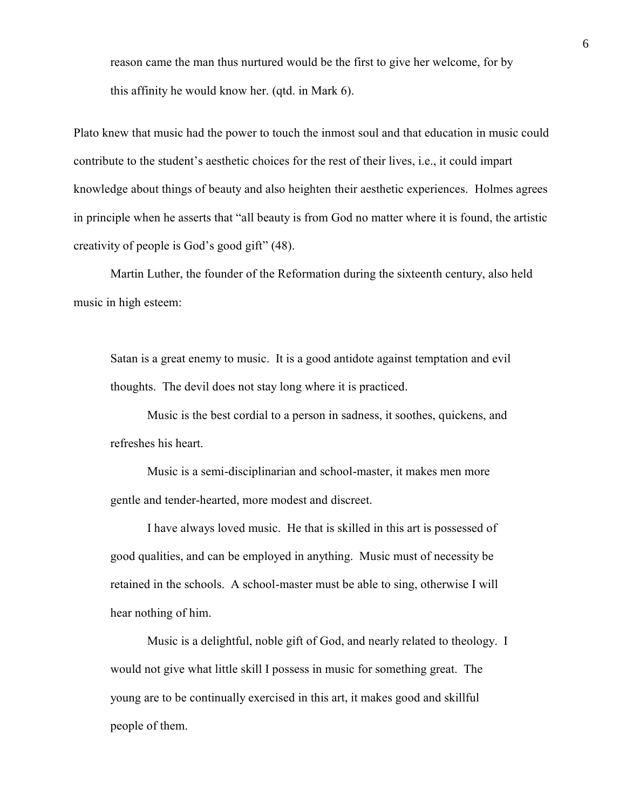reason came the man thus nurtured would be the first to give her welcome, for by this affinity he would know her. (qtd. in Mark 6).

Plato knew that music had the power to touch the inmost soul and that education in music could contribute to the student"s aesthetic choices for the rest of their lives, i.e., it could impart knowledge about things of beauty and also heighten their aesthetic experiences. Holmes agrees in principle when he asserts that "all beauty is from God no matter where it is found, the artistic creativity of people is God"s good gift" (48).

Martin Luther, the founder of the Reformation during the sixteenth century, also held music in high esteem:

Satan is a great enemy to music. It is a good antidote against temptation and evil thoughts. The devil does not stay long where it is practiced.

Music is the best cordial to a person in sadness, it soothes, quickens, and refreshes his heart.

Music is a semi-disciplinarian and school-master, it makes men more gentle and tender-hearted, more modest and discreet.

I have always loved music. He that is skilled in this art is possessed of good qualities, and can be employed in anything. Music must of necessity be retained in the schools. A school-master must be able to sing, otherwise I will hear nothing of him.

Music is a delightful, noble gift of God, and nearly related to theology. I would not give what little skill I possess in music for something great. The young are to be continually exercised in this art, it makes good and skillful people of them.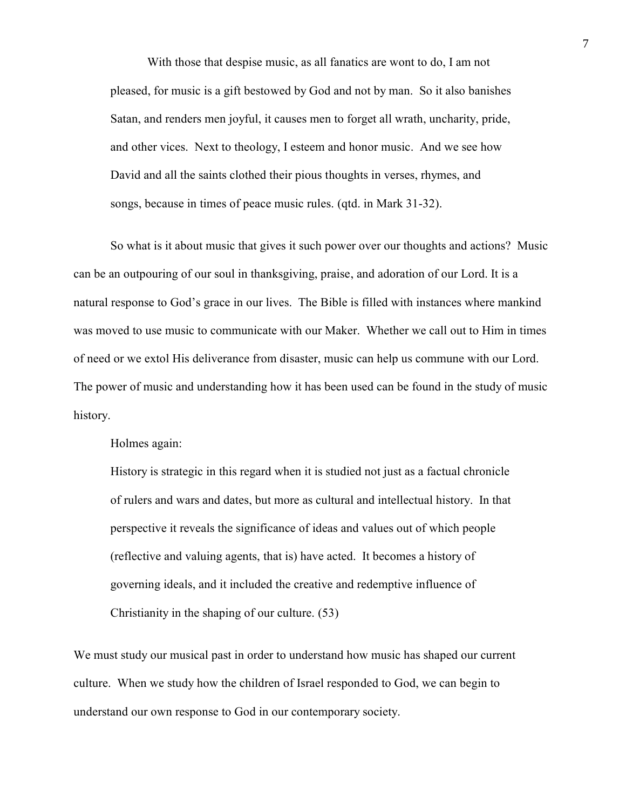With those that despise music, as all fanatics are wont to do, I am not pleased, for music is a gift bestowed by God and not by man. So it also banishes Satan, and renders men joyful, it causes men to forget all wrath, uncharity, pride, and other vices. Next to theology, I esteem and honor music. And we see how David and all the saints clothed their pious thoughts in verses, rhymes, and songs, because in times of peace music rules. (qtd. in Mark 31-32).

So what is it about music that gives it such power over our thoughts and actions? Music can be an outpouring of our soul in thanksgiving, praise, and adoration of our Lord. It is a natural response to God"s grace in our lives. The Bible is filled with instances where mankind was moved to use music to communicate with our Maker. Whether we call out to Him in times of need or we extol His deliverance from disaster, music can help us commune with our Lord. The power of music and understanding how it has been used can be found in the study of music history.

Holmes again:

History is strategic in this regard when it is studied not just as a factual chronicle of rulers and wars and dates, but more as cultural and intellectual history. In that perspective it reveals the significance of ideas and values out of which people (reflective and valuing agents, that is) have acted. It becomes a history of governing ideals, and it included the creative and redemptive influence of Christianity in the shaping of our culture. (53)

We must study our musical past in order to understand how music has shaped our current culture. When we study how the children of Israel responded to God, we can begin to understand our own response to God in our contemporary society.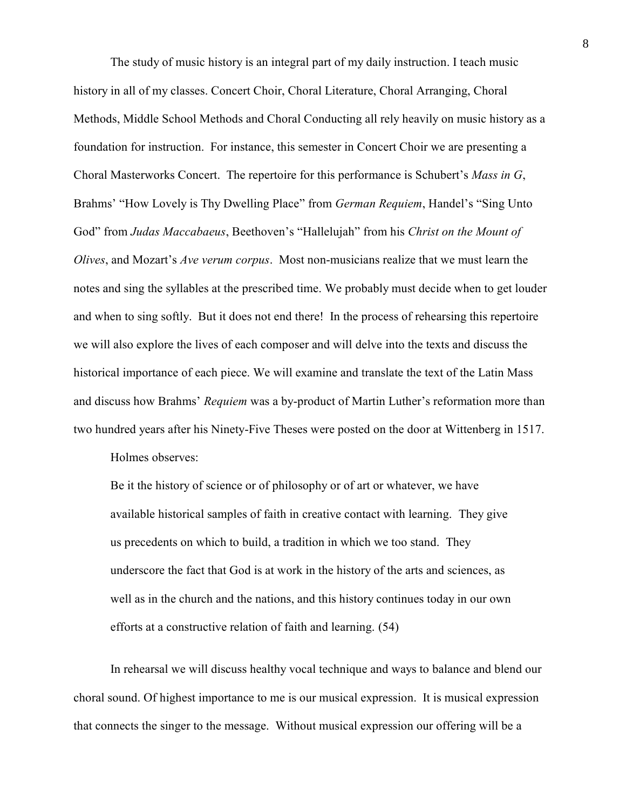The study of music history is an integral part of my daily instruction. I teach music history in all of my classes. Concert Choir, Choral Literature, Choral Arranging, Choral Methods, Middle School Methods and Choral Conducting all rely heavily on music history as a foundation for instruction. For instance, this semester in Concert Choir we are presenting a Choral Masterworks Concert. The repertoire for this performance is Schubert"s *Mass in G*, Brahms' "How Lovely is Thy Dwelling Place" from *German Requiem*, Handel's "Sing Unto God" from *Judas Maccabaeus*, Beethoven"s "Hallelujah" from his *Christ on the Mount of Olives*, and Mozart"s *Ave verum corpus*. Most non-musicians realize that we must learn the notes and sing the syllables at the prescribed time. We probably must decide when to get louder and when to sing softly. But it does not end there! In the process of rehearsing this repertoire we will also explore the lives of each composer and will delve into the texts and discuss the historical importance of each piece. We will examine and translate the text of the Latin Mass and discuss how Brahms" *Requiem* was a by-product of Martin Luther"s reformation more than two hundred years after his Ninety-Five Theses were posted on the door at Wittenberg in 1517.

Holmes observes:

Be it the history of science or of philosophy or of art or whatever, we have available historical samples of faith in creative contact with learning. They give us precedents on which to build, a tradition in which we too stand. They underscore the fact that God is at work in the history of the arts and sciences, as well as in the church and the nations, and this history continues today in our own efforts at a constructive relation of faith and learning. (54)

In rehearsal we will discuss healthy vocal technique and ways to balance and blend our choral sound. Of highest importance to me is our musical expression. It is musical expression that connects the singer to the message. Without musical expression our offering will be a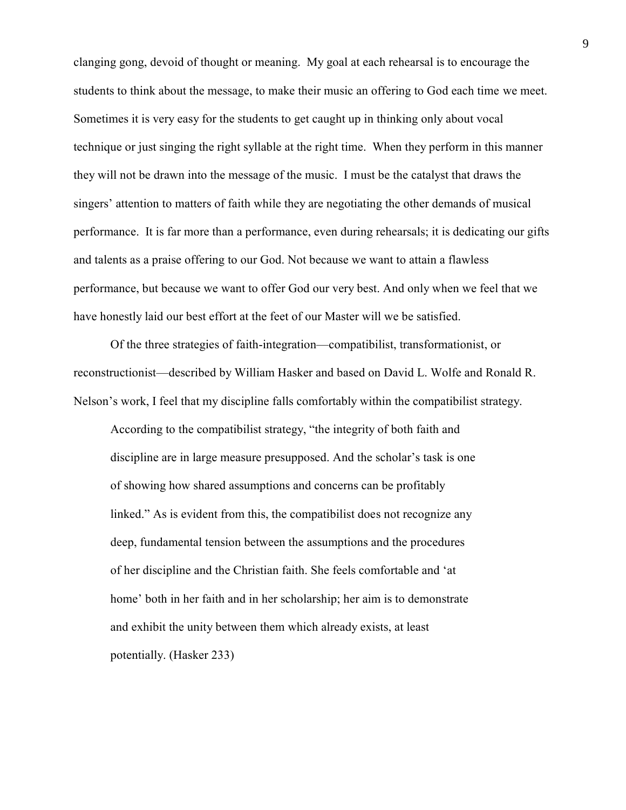clanging gong, devoid of thought or meaning. My goal at each rehearsal is to encourage the students to think about the message, to make their music an offering to God each time we meet. Sometimes it is very easy for the students to get caught up in thinking only about vocal technique or just singing the right syllable at the right time. When they perform in this manner they will not be drawn into the message of the music. I must be the catalyst that draws the singers' attention to matters of faith while they are negotiating the other demands of musical performance. It is far more than a performance, even during rehearsals; it is dedicating our gifts and talents as a praise offering to our God. Not because we want to attain a flawless performance, but because we want to offer God our very best. And only when we feel that we have honestly laid our best effort at the feet of our Master will we be satisfied.

Of the three strategies of faith-integration—compatibilist, transformationist, or reconstructionist—described by William Hasker and based on David L. Wolfe and Ronald R. Nelson"s work, I feel that my discipline falls comfortably within the compatibilist strategy.

According to the compatibilist strategy, "the integrity of both faith and discipline are in large measure presupposed. And the scholar's task is one of showing how shared assumptions and concerns can be profitably linked." As is evident from this, the compatibilist does not recognize any deep, fundamental tension between the assumptions and the procedures of her discipline and the Christian faith. She feels comfortable and "at home" both in her faith and in her scholarship; her aim is to demonstrate and exhibit the unity between them which already exists, at least potentially. (Hasker 233)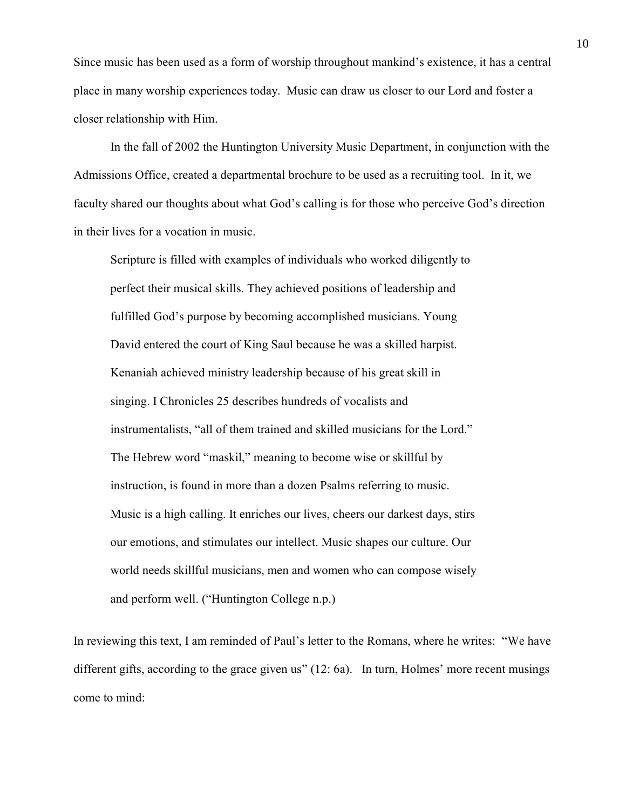Since music has been used as a form of worship throughout mankind"s existence, it has a central place in many worship experiences today. Music can draw us closer to our Lord and foster a closer relationship with Him.

In the fall of 2002 the Huntington University Music Department, in conjunction with the Admissions Office, created a departmental brochure to be used as a recruiting tool. In it, we faculty shared our thoughts about what God's calling is for those who perceive God's direction in their lives for a vocation in music.

Scripture is filled with examples of individuals who worked diligently to perfect their musical skills. They achieved positions of leadership and fulfilled God's purpose by becoming accomplished musicians. Young David entered the court of King Saul because he was a skilled harpist. Kenaniah achieved ministry leadership because of his great skill in singing. I Chronicles 25 describes hundreds of vocalists and instrumentalists, "all of them trained and skilled musicians for the Lord." The Hebrew word "maskil," meaning to become wise or skillful by instruction, is found in more than a dozen Psalms referring to music. Music is a high calling. It enriches our lives, cheers our darkest days, stirs our emotions, and stimulates our intellect. Music shapes our culture. Our world needs skillful musicians, men and women who can compose wisely and perform well. ("Huntington College n.p.)

In reviewing this text, I am reminded of Paul"s letter to the Romans, where he writes: "We have different gifts, according to the grace given us" (12: 6a). In turn, Holmes' more recent musings come to mind: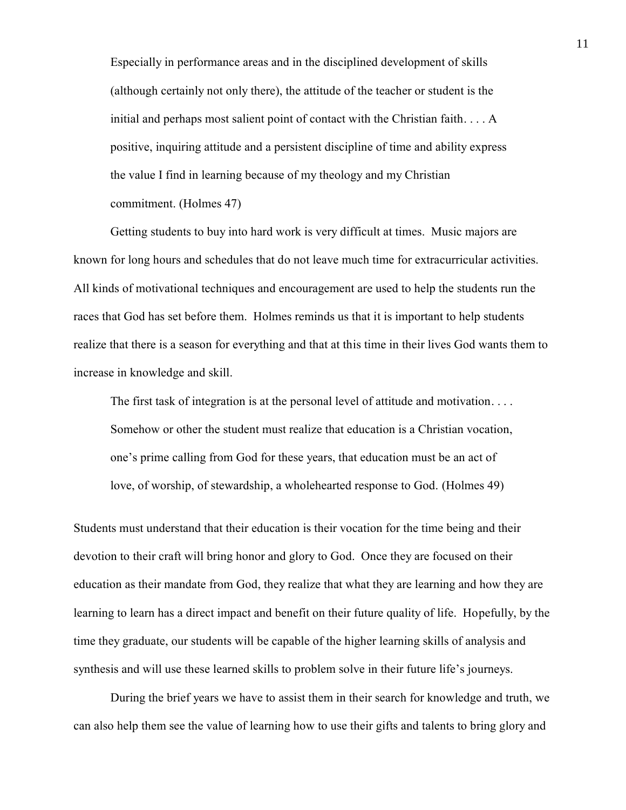Especially in performance areas and in the disciplined development of skills (although certainly not only there), the attitude of the teacher or student is the initial and perhaps most salient point of contact with the Christian faith. . . . A positive, inquiring attitude and a persistent discipline of time and ability express the value I find in learning because of my theology and my Christian commitment. (Holmes 47)

Getting students to buy into hard work is very difficult at times. Music majors are known for long hours and schedules that do not leave much time for extracurricular activities. All kinds of motivational techniques and encouragement are used to help the students run the races that God has set before them. Holmes reminds us that it is important to help students realize that there is a season for everything and that at this time in their lives God wants them to increase in knowledge and skill.

The first task of integration is at the personal level of attitude and motivation. . . . Somehow or other the student must realize that education is a Christian vocation, one"s prime calling from God for these years, that education must be an act of love, of worship, of stewardship, a wholehearted response to God. (Holmes 49)

Students must understand that their education is their vocation for the time being and their devotion to their craft will bring honor and glory to God. Once they are focused on their education as their mandate from God, they realize that what they are learning and how they are learning to learn has a direct impact and benefit on their future quality of life. Hopefully, by the time they graduate, our students will be capable of the higher learning skills of analysis and synthesis and will use these learned skills to problem solve in their future life's journeys.

During the brief years we have to assist them in their search for knowledge and truth, we can also help them see the value of learning how to use their gifts and talents to bring glory and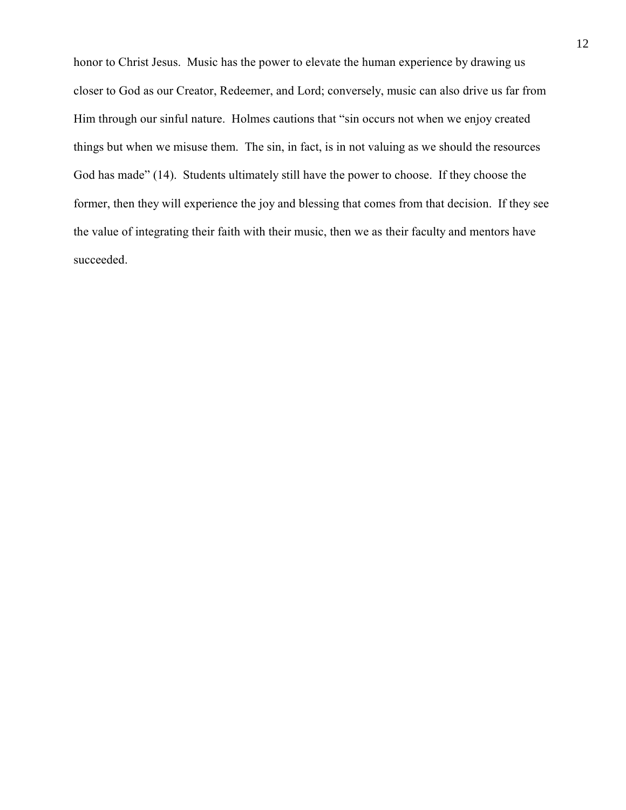honor to Christ Jesus. Music has the power to elevate the human experience by drawing us closer to God as our Creator, Redeemer, and Lord; conversely, music can also drive us far from Him through our sinful nature. Holmes cautions that "sin occurs not when we enjoy created things but when we misuse them. The sin, in fact, is in not valuing as we should the resources God has made" (14). Students ultimately still have the power to choose. If they choose the former, then they will experience the joy and blessing that comes from that decision. If they see the value of integrating their faith with their music, then we as their faculty and mentors have succeeded.